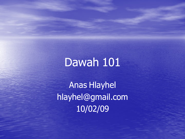## Dawah 101

Anas Hlayhel hlayhel@gmail.com 10/02/09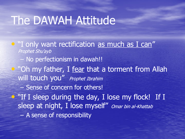## The DAWAH Attitude

• "I only want rectification as much as I can" Prophet Shu'ayb No perfectionism in dawah!! • "Oh my father, I fear that a torment from Allah will touch you" Prophet Ibrahim – Sense of concern for others! • "If I sleep during the day, I lose my flock! If I sleep at night, I lose myself" Omar bin al-Khattab – A sense of responsibility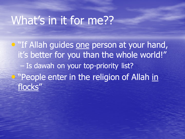#### What's in it for me??

**• "If Allah guides one person at your hand,** it's better for you than the whole world!" – Is dawah on your top-priority list? • "People enter in the religion of Allah in flocks"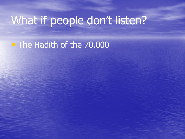# What if people don't listen?

• The Hadith of the 70,000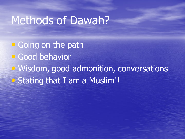#### Methods of Dawah?

• Going on the path • Good behavior • Wisdom, good admonition, conversations • Stating that I am a Muslim!!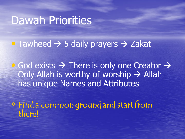# Dawah Priorities

• Tawheed  $\rightarrow$  5 daily prayers  $\rightarrow$  Zakat

• God exists  $\rightarrow$  There is only one Creator  $\rightarrow$ Only Allah is worthy of worship  $\rightarrow$  Allah has unique Names and Attributes

• Find a common ground and start from there!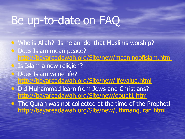## Be up-to-date on FAQ

- Who is Allah? Is he an idol that Muslims worship?
- Does Islam mean peace? <http://bayareadawah.org/Site/new/meaningofislam.html>
- Is Islam a new religion?
- Does Islam value life?
	- <http://bayareadawah.org/Site/new/lifevalue.html>
- **Did Muhammad learn from Jews and Christians?** <http://bayareadawah.org/Site/new/doubt1.htm>
- The Quran was not collected at the time of the Prophet! <http://bayareadawah.org/Site/new/uthmanquran.html>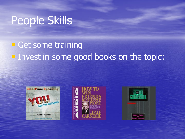# People Skills

#### • Get some training • Invest in some good books on the topic: